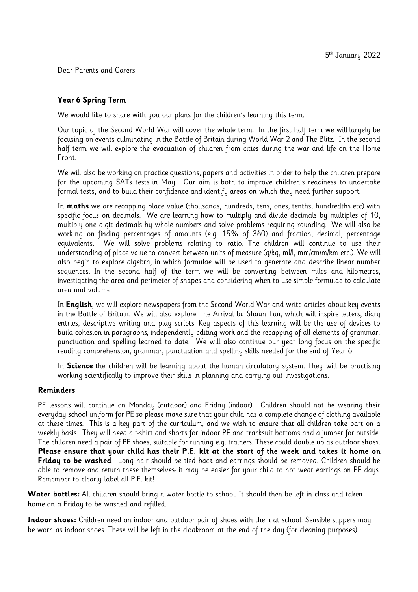Dear Parents and Carers

#### Year 6 Spring Term

We would like to share with you our plans for the children's learning this term.

Our topic of the Second World War will cover the whole term. In the first half term we will largely be focusing on events culminating in the Battle of Britain during World War 2 and The Blitz. In the second half term we will explore the evacuation of children from cities during the war and life on the Home Front.

We will also be working on practice questions, papers and activities in order to help the children prepare for the upcoming SATs tests in May. Our aim is both to improve children's readiness to undertake formal tests, and to build their confidence and identify areas on which they need further support.

In maths we are recapping place value (thousands, hundreds, tens, ones, tenths, hundredths etc) with specific focus on decimals. We are learning how to multiply and divide decimals by multiples of 10, multiply one digit decimals by whole numbers and solve problems requiring rounding. We will also be working on finding percentages of amounts (e.g. 15% of 360) and fraction, decimal, percentage equivalents. We will solve problems relating to ratio. The children will continue to use their understanding of place value to convert between units of measure (q/kq, ml/l, mm/cm/m/km etc.). We will also begin to explore algebra, in which formulae will be used to generate and describe linear number sequences. In the second half of the term we will be converting between miles and kilometres, investigating the area and perimeter of shapes and considering when to use simple formulae to calculate area and volume.

In English, we will explore newspapers from the Second World War and write articles about key events in the Battle of Britain. We will also explore The Arrival by Shaun Tan, which will inspire letters, diary entries, descriptive writing and play scripts. Key aspects of this learning will be the use of devices to build cohesion in paragraphs, independently editing work and the recapping of all elements of grammar, punctuation and spelling learned to date. We will also continue our year long focus on the specific reading comprehension, grammar, punctuation and spelling skills needed for the end of Year 6.

In Science the children will be learning about the human circulatory system. They will be practising working scientifically to improve their skills in planning and carrying out investigations.

#### Reminders

PE lessons will continue on Monday (outdoor) and Friday (indoor). Children should not be wearing their everyday school uniform for PE so please make sure that your child has a complete change of clothing available at these times. This is a key part of the curriculum, and we wish to ensure that all children take part on a weekly basis. They will need a t-shirt and shorts for indoor PE and tracksuit bottoms and a jumper for outside. The children need a pair of PE shoes, suitable for running e.g. trainers. These could double up as outdoor shoes. Please ensure that your child has their P.E. kit at the start of the week and takes it home on Friday to be washed. Long hair should be tied back and earrings should be removed. Children should be able to remove and return these themselves- it may be easier for your child to not wear earrings on PE days. Remember to clearly label all P.E. kit!

**Water bottles:** All children should bring a water bottle to school. It should then be left in class and taken home on a Friday to be washed and refilled.

Indoor shoes: Children need an indoor and outdoor pair of shoes with them at school. Sensible slippers may be worn as indoor shoes. These will be left in the cloakroom at the end of the day (for cleaning purposes).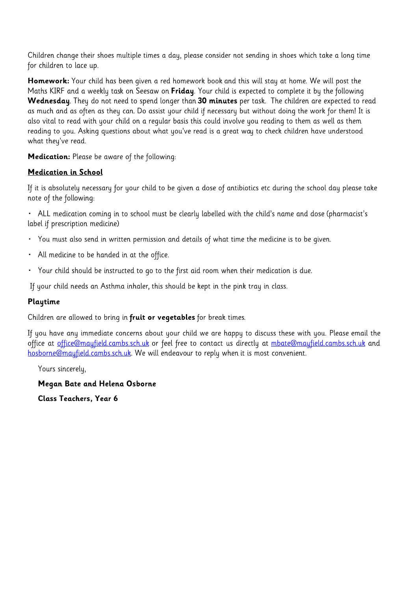Children change their shoes multiple times a day, please consider not sending in shoes which take a long time for children to lace up.

Homework: Your child has been given a red homework book and this will stay at home. We will post the Maths KIRF and a weekly task on Seesaw on Friday. Your child is expected to complete it by the following Wednesday. They do not need to spend longer than 30 minutes per task. The children are expected to read as much and as often as they can. Do assist your child if necessary but without doing the work for them! It is also vital to read with your child on a regular basis this could involve you reading to them as well as them reading to you. Asking questions about what you've read is a great way to check children have understood what they've read.

**Medication:** Please be aware of the following:

### **Medication in School**

If it is absolutely necessary for your child to be given a dose of antibiotics etc during the school day please take note of the following:

· ALL medication coming in to school must be clearly labelled with the child's name and dose (pharmacist's label if prescription medicine)

- · You must also send in written permission and details of what time the medicine is to be given.
- All medicine to be handed in at the office.
- · Your child should be instructed to go to the first aid room when their medication is due.

If your child needs an Asthma inhaler, this should be kept in the pink tray in class.

#### Playtime

Children are allowed to bring in fruit or vegetables for break times.

If you have any immediate concerns about your child we are happy to discuss these with you. Please email the office at office@mayfield.cambs.sch.uk or feel free to contact us directly at mbate@mayfield.cambs.sch.uk and hosborne@mayfield.cambs.sch.uk. We will endeavour to reply when it is most convenient.

Yours sincerely,

Megan Bate and Helena Osborne

**Class Teachers, Year 6**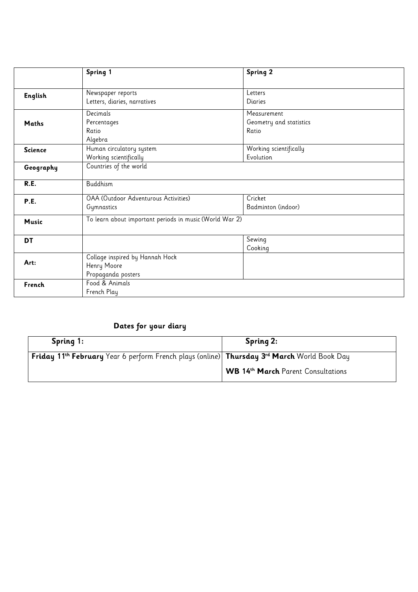| Spring 1                                                | Spring 2                                                                                                                                 |                                         |  |  |
|---------------------------------------------------------|------------------------------------------------------------------------------------------------------------------------------------------|-----------------------------------------|--|--|
|                                                         |                                                                                                                                          |                                         |  |  |
|                                                         |                                                                                                                                          |                                         |  |  |
|                                                         |                                                                                                                                          |                                         |  |  |
| Decimals                                                | Measurement                                                                                                                              |                                         |  |  |
| Percentages                                             | Geometry and statistics                                                                                                                  |                                         |  |  |
| Ratio                                                   | Ratio                                                                                                                                    |                                         |  |  |
| Algebra                                                 |                                                                                                                                          |                                         |  |  |
| Human circulatory system                                | Working scientifically                                                                                                                   |                                         |  |  |
| Working scientifically                                  | Evolution                                                                                                                                |                                         |  |  |
| Countries of the world                                  |                                                                                                                                          |                                         |  |  |
| Buddhism                                                |                                                                                                                                          |                                         |  |  |
| <b>OAA</b> (Outdoor Adventurous Activities)             | Cricket                                                                                                                                  |                                         |  |  |
| Gymnastics                                              | Badminton (indoor)                                                                                                                       |                                         |  |  |
| To learn about important periods in music (World War 2) |                                                                                                                                          |                                         |  |  |
|                                                         |                                                                                                                                          |                                         |  |  |
|                                                         |                                                                                                                                          |                                         |  |  |
|                                                         |                                                                                                                                          |                                         |  |  |
|                                                         |                                                                                                                                          |                                         |  |  |
|                                                         |                                                                                                                                          |                                         |  |  |
| Food & Animals                                          |                                                                                                                                          |                                         |  |  |
|                                                         |                                                                                                                                          |                                         |  |  |
|                                                         | Newspaper reports<br>Letters, diaries, narratives<br>Collage inspired by Hannah Hock<br>Henry Moore<br>Propaganda posters<br>French Play | Letters<br>Diaries<br>Sewing<br>Cooking |  |  |

## Dates for your diary

| Spring 1:                                                                                                                       | Spring 2:                          |
|---------------------------------------------------------------------------------------------------------------------------------|------------------------------------|
| <b>Friday 11<sup>th</sup> February</b> Year 6 perform French plays (online) <b>Thursday 3<sup>rd</sup> March</b> World Book Day |                                    |
|                                                                                                                                 | WB 14th March Parent Consultations |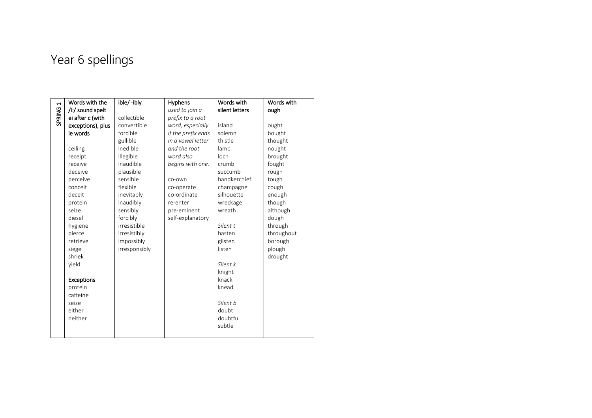# Year 6 spellings

| $\blacktriangleright$ | Words with the    | ible/-ibly    | Hyphens            | Words with        | Words with |
|-----------------------|-------------------|---------------|--------------------|-------------------|------------|
|                       | /i:/ sound spelt  |               | used to join a     | silent letters    | ough       |
| SPRING                | ei after c (with  | collectible   | prefix to a root   |                   |            |
|                       | exceptions), plus | convertible   | word, especially   | island            | ought      |
|                       | ie words          | forcible      | if the prefix ends | solemn            | bought     |
|                       |                   | gullible      | in a vowel letter  | thistle           | thought    |
|                       | ceiling           | inedible      | and the root       | lamb              | nought     |
|                       | receipt           | illegible     | word also          | loch              | brought    |
|                       | receive           | inaudible     | begins with one.   | crumb             | fought     |
|                       | deceive           | plausible     |                    | succumb           | rough      |
|                       | perceive          | sensible      | co-own             | handkerchief      | tough      |
|                       | conceit           | flexible      | co-operate         | champagne         | cough      |
|                       | deceit            | inevitably    | co-ordinate        | silhouette        | enough     |
|                       | protein           | inaudibly     | re-enter           | wreckage          | though     |
|                       | seize             | sensibly      | pre-eminent        | wreath            | although   |
|                       | diesel            | forcibly      | self-explanatory   |                   | dough      |
|                       | hygiene           | irresistible  |                    | Silent t          | through    |
|                       | pierce            | irresistibly  |                    | hasten            | throughout |
|                       | retrieve          | impossibly    |                    | glisten           | borough    |
|                       | siege             | irresponsibly |                    | listen            | plough     |
|                       | shriek            |               |                    |                   | drought    |
|                       | yield             |               |                    | Silent k          |            |
|                       |                   |               |                    | knight            |            |
|                       | <b>Exceptions</b> |               |                    | knack             |            |
|                       | protein           |               |                    | knead             |            |
|                       | caffeine          |               |                    |                   |            |
|                       | seize<br>either   |               |                    | Silent b<br>doubt |            |
|                       | neither           |               |                    | doubtful          |            |
|                       |                   |               |                    | subtle            |            |
|                       |                   |               |                    |                   |            |
|                       |                   |               |                    |                   |            |